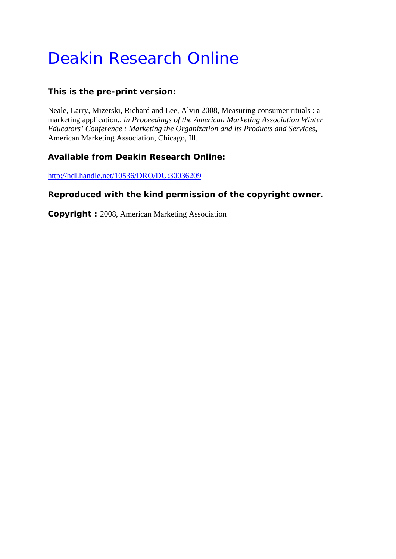# Deakin Research Online

# **This is the pre-print version:**

Neale, Larry, Mizerski, Richard and Lee, Alvin 2008, Measuring consumer rituals : a marketing application.*, in Proceedings of the American Marketing Association Winter Educators' Conference : Marketing the Organization and its Products and Services*, American Marketing Association, Chicago, Ill..

# **Available from Deakin Research Online:**

http://hdl.handle.net/10536/DRO/DU:30036209

# **Reproduced with the kind permission of the copyright owner.**

**Copyright :** 2008, American Marketing Association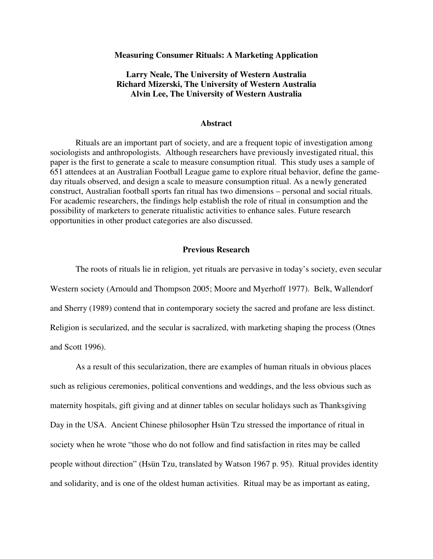#### **Measuring Consumer Rituals: A Marketing Application**

# **Larry Neale, The University of Western Australia Richard Mizerski, The University of Western Australia Alvin Lee, The University of Western Australia**

#### **Abstract**

Rituals are an important part of society, and are a frequent topic of investigation among sociologists and anthropologists. Although researchers have previously investigated ritual, this paper is the first to generate a scale to measure consumption ritual. This study uses a sample of 651 attendees at an Australian Football League game to explore ritual behavior, define the gameday rituals observed, and design a scale to measure consumption ritual. As a newly generated construct, Australian football sports fan ritual has two dimensions – personal and social rituals. For academic researchers, the findings help establish the role of ritual in consumption and the possibility of marketers to generate ritualistic activities to enhance sales. Future research opportunities in other product categories are also discussed.

# **Previous Research**

The roots of rituals lie in religion, yet rituals are pervasive in today's society, even secular Western society (Arnould and Thompson 2005; Moore and Myerhoff 1977). Belk, Wallendorf and Sherry (1989) contend that in contemporary society the sacred and profane are less distinct. Religion is secularized, and the secular is sacralized, with marketing shaping the process (Otnes and Scott 1996).

As a result of this secularization, there are examples of human rituals in obvious places such as religious ceremonies, political conventions and weddings, and the less obvious such as maternity hospitals, gift giving and at dinner tables on secular holidays such as Thanksgiving Day in the USA. Ancient Chinese philosopher Hsün Tzu stressed the importance of ritual in society when he wrote "those who do not follow and find satisfaction in rites may be called people without direction" (Hsün Tzu, translated by Watson 1967 p. 95). Ritual provides identity and solidarity, and is one of the oldest human activities. Ritual may be as important as eating,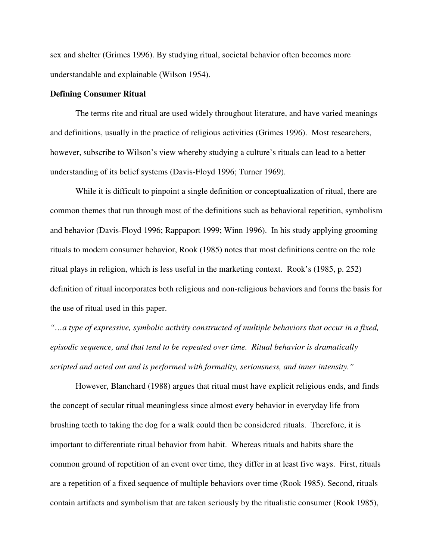sex and shelter (Grimes 1996). By studying ritual, societal behavior often becomes more understandable and explainable (Wilson 1954).

#### **Defining Consumer Ritual**

The terms rite and ritual are used widely throughout literature, and have varied meanings and definitions, usually in the practice of religious activities (Grimes 1996). Most researchers, however, subscribe to Wilson's view whereby studying a culture's rituals can lead to a better understanding of its belief systems (Davis-Floyd 1996; Turner 1969).

While it is difficult to pinpoint a single definition or conceptualization of ritual, there are common themes that run through most of the definitions such as behavioral repetition, symbolism and behavior (Davis-Floyd 1996; Rappaport 1999; Winn 1996). In his study applying grooming rituals to modern consumer behavior, Rook (1985) notes that most definitions centre on the role ritual plays in religion, which is less useful in the marketing context. Rook's (1985, p. 252) definition of ritual incorporates both religious and non-religious behaviors and forms the basis for the use of ritual used in this paper.

*"…a type of expressive, symbolic activity constructed of multiple behaviors that occur in a fixed, episodic sequence, and that tend to be repeated over time. Ritual behavior is dramatically scripted and acted out and is performed with formality, seriousness, and inner intensity."* 

However, Blanchard (1988) argues that ritual must have explicit religious ends, and finds the concept of secular ritual meaningless since almost every behavior in everyday life from brushing teeth to taking the dog for a walk could then be considered rituals. Therefore, it is important to differentiate ritual behavior from habit. Whereas rituals and habits share the common ground of repetition of an event over time, they differ in at least five ways. First, rituals are a repetition of a fixed sequence of multiple behaviors over time (Rook 1985). Second, rituals contain artifacts and symbolism that are taken seriously by the ritualistic consumer (Rook 1985),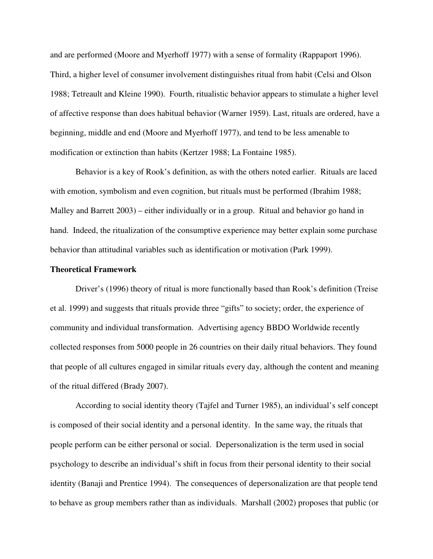and are performed (Moore and Myerhoff 1977) with a sense of formality (Rappaport 1996). Third, a higher level of consumer involvement distinguishes ritual from habit (Celsi and Olson 1988; Tetreault and Kleine 1990). Fourth, ritualistic behavior appears to stimulate a higher level of affective response than does habitual behavior (Warner 1959). Last, rituals are ordered, have a beginning, middle and end (Moore and Myerhoff 1977), and tend to be less amenable to modification or extinction than habits (Kertzer 1988; La Fontaine 1985).

Behavior is a key of Rook's definition, as with the others noted earlier. Rituals are laced with emotion, symbolism and even cognition, but rituals must be performed (Ibrahim 1988; Malley and Barrett 2003) – either individually or in a group. Ritual and behavior go hand in hand. Indeed, the ritualization of the consumptive experience may better explain some purchase behavior than attitudinal variables such as identification or motivation (Park 1999).

### **Theoretical Framework**

Driver's (1996) theory of ritual is more functionally based than Rook's definition (Treise et al. 1999) and suggests that rituals provide three "gifts" to society; order, the experience of community and individual transformation. Advertising agency BBDO Worldwide recently collected responses from 5000 people in 26 countries on their daily ritual behaviors. They found that people of all cultures engaged in similar rituals every day, although the content and meaning of the ritual differed (Brady 2007).

According to social identity theory (Tajfel and Turner 1985), an individual's self concept is composed of their social identity and a personal identity. In the same way, the rituals that people perform can be either personal or social. Depersonalization is the term used in social psychology to describe an individual's shift in focus from their personal identity to their social identity (Banaji and Prentice 1994). The consequences of depersonalization are that people tend to behave as group members rather than as individuals. Marshall (2002) proposes that public (or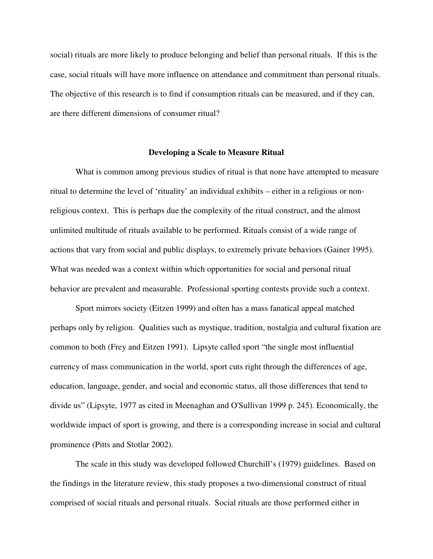social) rituals are more likely to produce belonging and belief than personal rituals. If this is the case, social rituals will have more influence on attendance and commitment than personal rituals. The objective of this research is to find if consumption rituals can be measured, and if they can, are there different dimensions of consumer ritual?

#### **Developing a Scale to Measure Ritual**

What is common among previous studies of ritual is that none have attempted to measure ritual to determine the level of 'rituality' an individual exhibits – either in a religious or nonreligious context. This is perhaps due the complexity of the ritual construct, and the almost unlimited multitude of rituals available to be performed. Rituals consist of a wide range of actions that vary from social and public displays, to extremely private behaviors (Gainer 1995). What was needed was a context within which opportunities for social and personal ritual behavior are prevalent and measurable. Professional sporting contests provide such a context.

Sport mirrors society (Eitzen 1999) and often has a mass fanatical appeal matched perhaps only by religion. Qualities such as mystique, tradition, nostalgia and cultural fixation are common to both (Frey and Eitzen 1991). Lipsyte called sport "the single most influential currency of mass communication in the world, sport cuts right through the differences of age, education, language, gender, and social and economic status, all those differences that tend to divide us" (Lipsyte, 1977 as cited in Meenaghan and O'Sullivan 1999 p. 245). Economically, the worldwide impact of sport is growing, and there is a corresponding increase in social and cultural prominence (Pitts and Stotlar 2002).

The scale in this study was developed followed Churchill's (1979) guidelines. Based on the findings in the literature review, this study proposes a two-dimensional construct of ritual comprised of social rituals and personal rituals. Social rituals are those performed either in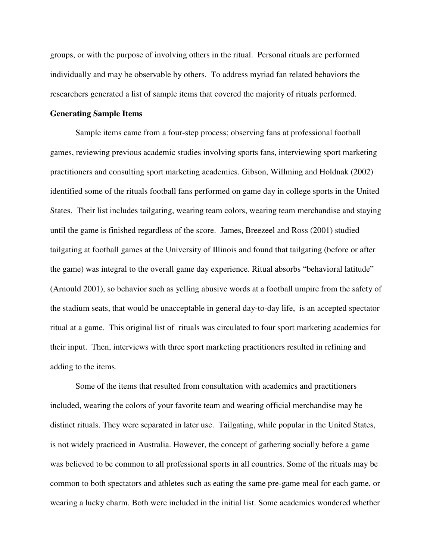groups, or with the purpose of involving others in the ritual. Personal rituals are performed individually and may be observable by others. To address myriad fan related behaviors the researchers generated a list of sample items that covered the majority of rituals performed.

#### **Generating Sample Items**

Sample items came from a four-step process; observing fans at professional football games, reviewing previous academic studies involving sports fans, interviewing sport marketing practitioners and consulting sport marketing academics. Gibson, Willming and Holdnak (2002) identified some of the rituals football fans performed on game day in college sports in the United States. Their list includes tailgating, wearing team colors, wearing team merchandise and staying until the game is finished regardless of the score. James, Breezeel and Ross (2001) studied tailgating at football games at the University of Illinois and found that tailgating (before or after the game) was integral to the overall game day experience. Ritual absorbs "behavioral latitude" (Arnould 2001), so behavior such as yelling abusive words at a football umpire from the safety of the stadium seats, that would be unacceptable in general day-to-day life, is an accepted spectator ritual at a game. This original list of rituals was circulated to four sport marketing academics for their input. Then, interviews with three sport marketing practitioners resulted in refining and adding to the items.

Some of the items that resulted from consultation with academics and practitioners included, wearing the colors of your favorite team and wearing official merchandise may be distinct rituals. They were separated in later use. Tailgating, while popular in the United States, is not widely practiced in Australia. However, the concept of gathering socially before a game was believed to be common to all professional sports in all countries. Some of the rituals may be common to both spectators and athletes such as eating the same pre-game meal for each game, or wearing a lucky charm. Both were included in the initial list. Some academics wondered whether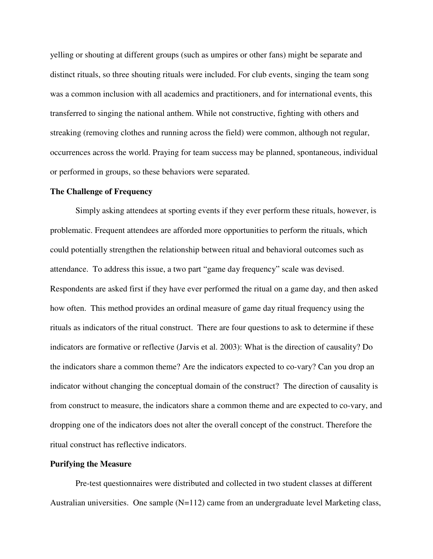yelling or shouting at different groups (such as umpires or other fans) might be separate and distinct rituals, so three shouting rituals were included. For club events, singing the team song was a common inclusion with all academics and practitioners, and for international events, this transferred to singing the national anthem. While not constructive, fighting with others and streaking (removing clothes and running across the field) were common, although not regular, occurrences across the world. Praying for team success may be planned, spontaneous, individual or performed in groups, so these behaviors were separated.

## **The Challenge of Frequency**

Simply asking attendees at sporting events if they ever perform these rituals, however, is problematic. Frequent attendees are afforded more opportunities to perform the rituals, which could potentially strengthen the relationship between ritual and behavioral outcomes such as attendance. To address this issue, a two part "game day frequency" scale was devised. Respondents are asked first if they have ever performed the ritual on a game day, and then asked how often. This method provides an ordinal measure of game day ritual frequency using the rituals as indicators of the ritual construct. There are four questions to ask to determine if these indicators are formative or reflective (Jarvis et al. 2003): What is the direction of causality? Do the indicators share a common theme? Are the indicators expected to co-vary? Can you drop an indicator without changing the conceptual domain of the construct? The direction of causality is from construct to measure, the indicators share a common theme and are expected to co-vary, and dropping one of the indicators does not alter the overall concept of the construct. Therefore the ritual construct has reflective indicators.

#### **Purifying the Measure**

Pre-test questionnaires were distributed and collected in two student classes at different Australian universities. One sample (N=112) came from an undergraduate level Marketing class,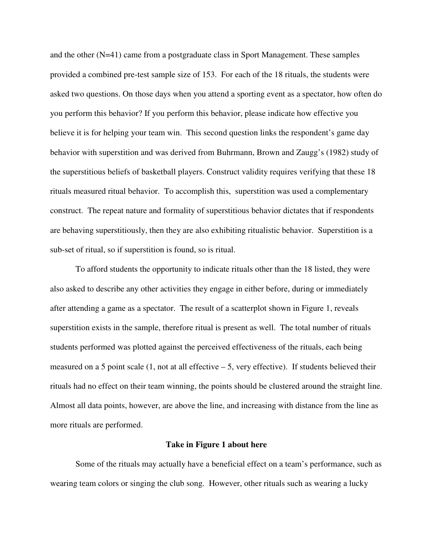and the other (N=41) came from a postgraduate class in Sport Management. These samples provided a combined pre-test sample size of 153. For each of the 18 rituals, the students were asked two questions. On those days when you attend a sporting event as a spectator, how often do you perform this behavior? If you perform this behavior, please indicate how effective you believe it is for helping your team win. This second question links the respondent's game day behavior with superstition and was derived from Buhrmann, Brown and Zaugg's (1982) study of the superstitious beliefs of basketball players. Construct validity requires verifying that these 18 rituals measured ritual behavior. To accomplish this, superstition was used a complementary construct. The repeat nature and formality of superstitious behavior dictates that if respondents are behaving superstitiously, then they are also exhibiting ritualistic behavior. Superstition is a sub-set of ritual, so if superstition is found, so is ritual.

To afford students the opportunity to indicate rituals other than the 18 listed, they were also asked to describe any other activities they engage in either before, during or immediately after attending a game as a spectator. The result of a scatterplot shown in Figure 1, reveals superstition exists in the sample, therefore ritual is present as well. The total number of rituals students performed was plotted against the perceived effectiveness of the rituals, each being measured on a 5 point scale (1, not at all effective – 5, very effective). If students believed their rituals had no effect on their team winning, the points should be clustered around the straight line. Almost all data points, however, are above the line, and increasing with distance from the line as more rituals are performed.

#### **Take in Figure 1 about here**

Some of the rituals may actually have a beneficial effect on a team's performance, such as wearing team colors or singing the club song. However, other rituals such as wearing a lucky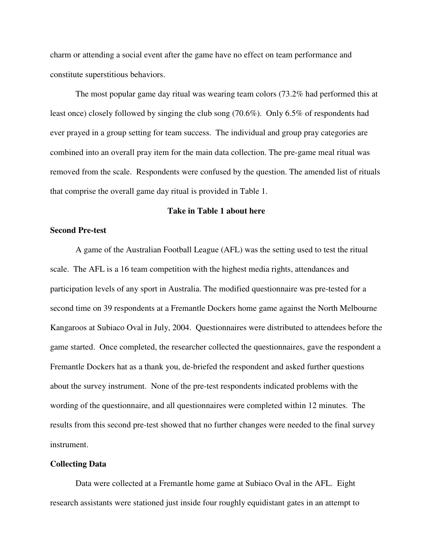charm or attending a social event after the game have no effect on team performance and constitute superstitious behaviors.

The most popular game day ritual was wearing team colors (73.2% had performed this at least once) closely followed by singing the club song (70.6%). Only 6.5% of respondents had ever prayed in a group setting for team success. The individual and group pray categories are combined into an overall pray item for the main data collection. The pre-game meal ritual was removed from the scale. Respondents were confused by the question. The amended list of rituals that comprise the overall game day ritual is provided in Table 1.

# **Take in Table 1 about here**

# **Second Pre-test**

A game of the Australian Football League (AFL) was the setting used to test the ritual scale. The AFL is a 16 team competition with the highest media rights, attendances and participation levels of any sport in Australia. The modified questionnaire was pre-tested for a second time on 39 respondents at a Fremantle Dockers home game against the North Melbourne Kangaroos at Subiaco Oval in July, 2004. Questionnaires were distributed to attendees before the game started. Once completed, the researcher collected the questionnaires, gave the respondent a Fremantle Dockers hat as a thank you, de-briefed the respondent and asked further questions about the survey instrument. None of the pre-test respondents indicated problems with the wording of the questionnaire, and all questionnaires were completed within 12 minutes. The results from this second pre-test showed that no further changes were needed to the final survey instrument.

#### **Collecting Data**

Data were collected at a Fremantle home game at Subiaco Oval in the AFL. Eight research assistants were stationed just inside four roughly equidistant gates in an attempt to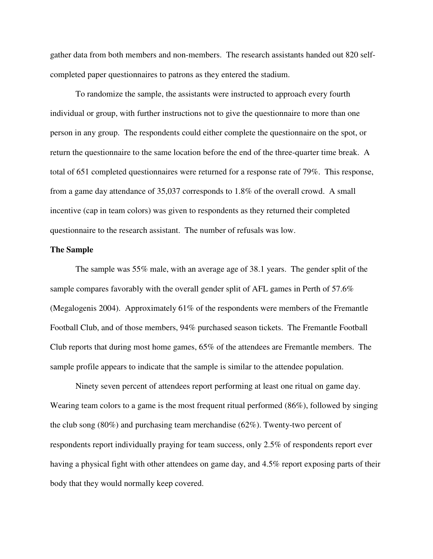gather data from both members and non-members. The research assistants handed out 820 selfcompleted paper questionnaires to patrons as they entered the stadium.

To randomize the sample, the assistants were instructed to approach every fourth individual or group, with further instructions not to give the questionnaire to more than one person in any group. The respondents could either complete the questionnaire on the spot, or return the questionnaire to the same location before the end of the three-quarter time break. A total of 651 completed questionnaires were returned for a response rate of 79%. This response, from a game day attendance of 35,037 corresponds to 1.8% of the overall crowd. A small incentive (cap in team colors) was given to respondents as they returned their completed questionnaire to the research assistant. The number of refusals was low.

#### **The Sample**

The sample was 55% male, with an average age of 38.1 years. The gender split of the sample compares favorably with the overall gender split of AFL games in Perth of 57.6% (Megalogenis 2004). Approximately 61% of the respondents were members of the Fremantle Football Club, and of those members, 94% purchased season tickets. The Fremantle Football Club reports that during most home games, 65% of the attendees are Fremantle members. The sample profile appears to indicate that the sample is similar to the attendee population.

Ninety seven percent of attendees report performing at least one ritual on game day. Wearing team colors to a game is the most frequent ritual performed (86%), followed by singing the club song (80%) and purchasing team merchandise (62%). Twenty-two percent of respondents report individually praying for team success, only 2.5% of respondents report ever having a physical fight with other attendees on game day, and 4.5% report exposing parts of their body that they would normally keep covered.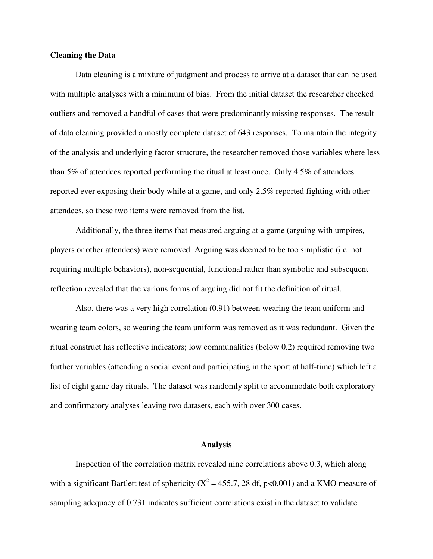#### **Cleaning the Data**

Data cleaning is a mixture of judgment and process to arrive at a dataset that can be used with multiple analyses with a minimum of bias. From the initial dataset the researcher checked outliers and removed a handful of cases that were predominantly missing responses. The result of data cleaning provided a mostly complete dataset of 643 responses. To maintain the integrity of the analysis and underlying factor structure, the researcher removed those variables where less than 5% of attendees reported performing the ritual at least once. Only 4.5% of attendees reported ever exposing their body while at a game, and only 2.5% reported fighting with other attendees, so these two items were removed from the list.

Additionally, the three items that measured arguing at a game (arguing with umpires, players or other attendees) were removed. Arguing was deemed to be too simplistic (i.e. not requiring multiple behaviors), non-sequential, functional rather than symbolic and subsequent reflection revealed that the various forms of arguing did not fit the definition of ritual.

Also, there was a very high correlation (0.91) between wearing the team uniform and wearing team colors, so wearing the team uniform was removed as it was redundant. Given the ritual construct has reflective indicators; low communalities (below 0.2) required removing two further variables (attending a social event and participating in the sport at half-time) which left a list of eight game day rituals. The dataset was randomly split to accommodate both exploratory and confirmatory analyses leaving two datasets, each with over 300 cases.

#### **Analysis**

Inspection of the correlation matrix revealed nine correlations above 0.3, which along with a significant Bartlett test of sphericity ( $X^2 = 455.7$ , 28 df, p<0.001) and a KMO measure of sampling adequacy of 0.731 indicates sufficient correlations exist in the dataset to validate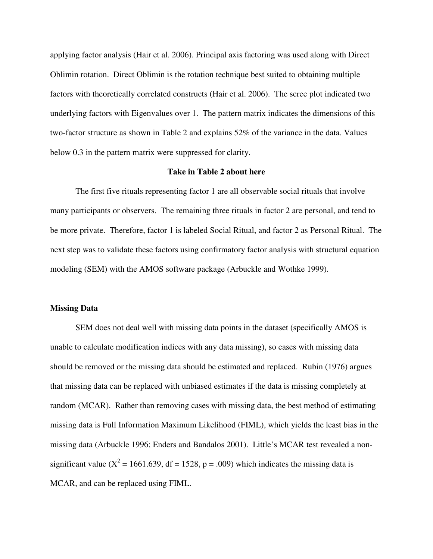applying factor analysis (Hair et al. 2006). Principal axis factoring was used along with Direct Oblimin rotation. Direct Oblimin is the rotation technique best suited to obtaining multiple factors with theoretically correlated constructs (Hair et al. 2006). The scree plot indicated two underlying factors with Eigenvalues over 1. The pattern matrix indicates the dimensions of this two-factor structure as shown in Table 2 and explains 52% of the variance in the data. Values below 0.3 in the pattern matrix were suppressed for clarity.

#### **Take in Table 2 about here**

The first five rituals representing factor 1 are all observable social rituals that involve many participants or observers. The remaining three rituals in factor 2 are personal, and tend to be more private. Therefore, factor 1 is labeled Social Ritual, and factor 2 as Personal Ritual. The next step was to validate these factors using confirmatory factor analysis with structural equation modeling (SEM) with the AMOS software package (Arbuckle and Wothke 1999).

## **Missing Data**

SEM does not deal well with missing data points in the dataset (specifically AMOS is unable to calculate modification indices with any data missing), so cases with missing data should be removed or the missing data should be estimated and replaced. Rubin (1976) argues that missing data can be replaced with unbiased estimates if the data is missing completely at random (MCAR). Rather than removing cases with missing data, the best method of estimating missing data is Full Information Maximum Likelihood (FIML), which yields the least bias in the missing data (Arbuckle 1996; Enders and Bandalos 2001). Little's MCAR test revealed a nonsignificant value ( $X^2 = 1661.639$ , df = 1528, p = .009) which indicates the missing data is MCAR, and can be replaced using FIML.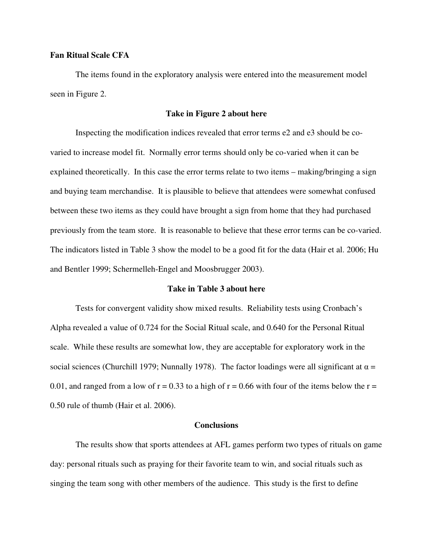# **Fan Ritual Scale CFA**

The items found in the exploratory analysis were entered into the measurement model seen in Figure 2.

#### **Take in Figure 2 about here**

Inspecting the modification indices revealed that error terms e2 and e3 should be covaried to increase model fit. Normally error terms should only be co-varied when it can be explained theoretically. In this case the error terms relate to two items – making/bringing a sign and buying team merchandise. It is plausible to believe that attendees were somewhat confused between these two items as they could have brought a sign from home that they had purchased previously from the team store. It is reasonable to believe that these error terms can be co-varied. The indicators listed in Table 3 show the model to be a good fit for the data (Hair et al. 2006; Hu and Bentler 1999; Schermelleh-Engel and Moosbrugger 2003).

# **Take in Table 3 about here**

Tests for convergent validity show mixed results. Reliability tests using Cronbach's Alpha revealed a value of 0.724 for the Social Ritual scale, and 0.640 for the Personal Ritual scale. While these results are somewhat low, they are acceptable for exploratory work in the social sciences (Churchill 1979; Nunnally 1978). The factor loadings were all significant at  $\alpha =$ 0.01, and ranged from a low of  $r = 0.33$  to a high of  $r = 0.66$  with four of the items below the  $r =$ 0.50 rule of thumb (Hair et al. 2006).

#### **Conclusions**

The results show that sports attendees at AFL games perform two types of rituals on game day: personal rituals such as praying for their favorite team to win, and social rituals such as singing the team song with other members of the audience. This study is the first to define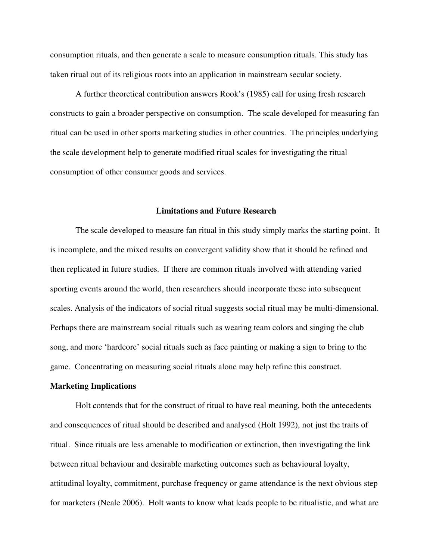consumption rituals, and then generate a scale to measure consumption rituals. This study has taken ritual out of its religious roots into an application in mainstream secular society.

A further theoretical contribution answers Rook's (1985) call for using fresh research constructs to gain a broader perspective on consumption. The scale developed for measuring fan ritual can be used in other sports marketing studies in other countries. The principles underlying the scale development help to generate modified ritual scales for investigating the ritual consumption of other consumer goods and services.

# **Limitations and Future Research**

The scale developed to measure fan ritual in this study simply marks the starting point. It is incomplete, and the mixed results on convergent validity show that it should be refined and then replicated in future studies. If there are common rituals involved with attending varied sporting events around the world, then researchers should incorporate these into subsequent scales. Analysis of the indicators of social ritual suggests social ritual may be multi-dimensional. Perhaps there are mainstream social rituals such as wearing team colors and singing the club song, and more 'hardcore' social rituals such as face painting or making a sign to bring to the game. Concentrating on measuring social rituals alone may help refine this construct.

#### **Marketing Implications**

Holt contends that for the construct of ritual to have real meaning, both the antecedents and consequences of ritual should be described and analysed (Holt 1992), not just the traits of ritual. Since rituals are less amenable to modification or extinction, then investigating the link between ritual behaviour and desirable marketing outcomes such as behavioural loyalty, attitudinal loyalty, commitment, purchase frequency or game attendance is the next obvious step for marketers (Neale 2006). Holt wants to know what leads people to be ritualistic, and what are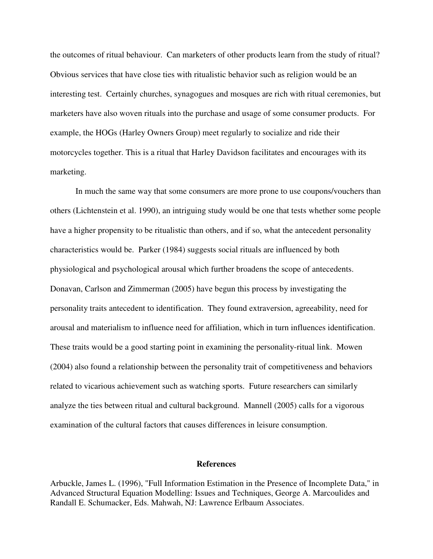the outcomes of ritual behaviour. Can marketers of other products learn from the study of ritual? Obvious services that have close ties with ritualistic behavior such as religion would be an interesting test. Certainly churches, synagogues and mosques are rich with ritual ceremonies, but marketers have also woven rituals into the purchase and usage of some consumer products. For example, the HOGs (Harley Owners Group) meet regularly to socialize and ride their motorcycles together. This is a ritual that Harley Davidson facilitates and encourages with its marketing.

In much the same way that some consumers are more prone to use coupons/vouchers than others (Lichtenstein et al. 1990), an intriguing study would be one that tests whether some people have a higher propensity to be ritualistic than others, and if so, what the antecedent personality characteristics would be. Parker (1984) suggests social rituals are influenced by both physiological and psychological arousal which further broadens the scope of antecedents. Donavan, Carlson and Zimmerman (2005) have begun this process by investigating the personality traits antecedent to identification. They found extraversion, agreeability, need for arousal and materialism to influence need for affiliation, which in turn influences identification. These traits would be a good starting point in examining the personality-ritual link. Mowen (2004) also found a relationship between the personality trait of competitiveness and behaviors related to vicarious achievement such as watching sports. Future researchers can similarly analyze the ties between ritual and cultural background. Mannell (2005) calls for a vigorous examination of the cultural factors that causes differences in leisure consumption.

#### **References**

Arbuckle, James L. (1996), "Full Information Estimation in the Presence of Incomplete Data," in Advanced Structural Equation Modelling: Issues and Techniques, George A. Marcoulides and Randall E. Schumacker, Eds. Mahwah, NJ: Lawrence Erlbaum Associates.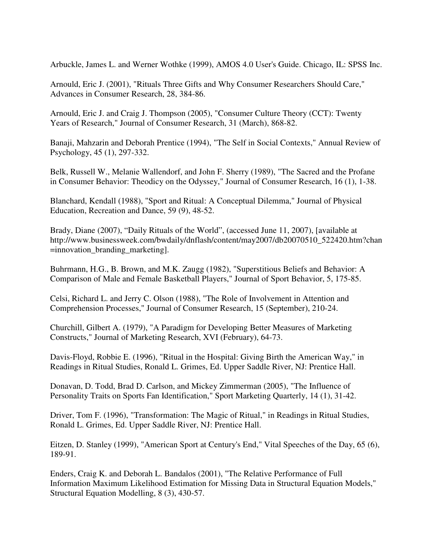Arbuckle, James L. and Werner Wothke (1999), AMOS 4.0 User's Guide. Chicago, IL: SPSS Inc.

Arnould, Eric J. (2001), "Rituals Three Gifts and Why Consumer Researchers Should Care," Advances in Consumer Research, 28, 384-86.

Arnould, Eric J. and Craig J. Thompson (2005), "Consumer Culture Theory (CCT): Twenty Years of Research," Journal of Consumer Research, 31 (March), 868-82.

Banaji, Mahzarin and Deborah Prentice (1994), "The Self in Social Contexts," Annual Review of Psychology, 45 (1), 297-332.

Belk, Russell W., Melanie Wallendorf, and John F. Sherry (1989), "The Sacred and the Profane in Consumer Behavior: Theodicy on the Odyssey," Journal of Consumer Research, 16 (1), 1-38.

Blanchard, Kendall (1988), "Sport and Ritual: A Conceptual Dilemma," Journal of Physical Education, Recreation and Dance, 59 (9), 48-52.

Brady, Diane (2007), "Daily Rituals of the World", (accessed June 11, 2007), [available at http://www.businessweek.com/bwdaily/dnflash/content/may2007/db20070510\_522420.htm?chan =innovation\_branding\_marketing].

Buhrmann, H.G., B. Brown, and M.K. Zaugg (1982), "Superstitious Beliefs and Behavior: A Comparison of Male and Female Basketball Players," Journal of Sport Behavior, 5, 175-85.

Celsi, Richard L. and Jerry C. Olson (1988), "The Role of Involvement in Attention and Comprehension Processes," Journal of Consumer Research, 15 (September), 210-24.

Churchill, Gilbert A. (1979), "A Paradigm for Developing Better Measures of Marketing Constructs," Journal of Marketing Research, XVI (February), 64-73.

Davis-Floyd, Robbie E. (1996), "Ritual in the Hospital: Giving Birth the American Way," in Readings in Ritual Studies, Ronald L. Grimes, Ed. Upper Saddle River, NJ: Prentice Hall.

Donavan, D. Todd, Brad D. Carlson, and Mickey Zimmerman (2005), "The Influence of Personality Traits on Sports Fan Identification," Sport Marketing Quarterly, 14 (1), 31-42.

Driver, Tom F. (1996), "Transformation: The Magic of Ritual," in Readings in Ritual Studies, Ronald L. Grimes, Ed. Upper Saddle River, NJ: Prentice Hall.

Eitzen, D. Stanley (1999), "American Sport at Century's End," Vital Speeches of the Day, 65 (6), 189-91.

Enders, Craig K. and Deborah L. Bandalos (2001), "The Relative Performance of Full Information Maximum Likelihood Estimation for Missing Data in Structural Equation Models," Structural Equation Modelling, 8 (3), 430-57.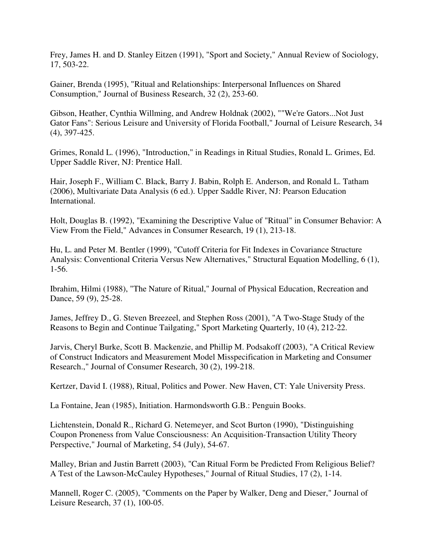Frey, James H. and D. Stanley Eitzen (1991), "Sport and Society," Annual Review of Sociology, 17, 503-22.

Gainer, Brenda (1995), "Ritual and Relationships: Interpersonal Influences on Shared Consumption," Journal of Business Research, 32 (2), 253-60.

Gibson, Heather, Cynthia Willming, and Andrew Holdnak (2002), ""We're Gators...Not Just Gator Fans": Serious Leisure and University of Florida Football," Journal of Leisure Research, 34 (4), 397-425.

Grimes, Ronald L. (1996), "Introduction," in Readings in Ritual Studies, Ronald L. Grimes, Ed. Upper Saddle River, NJ: Prentice Hall.

Hair, Joseph F., William C. Black, Barry J. Babin, Rolph E. Anderson, and Ronald L. Tatham (2006), Multivariate Data Analysis (6 ed.). Upper Saddle River, NJ: Pearson Education International.

Holt, Douglas B. (1992), "Examining the Descriptive Value of "Ritual" in Consumer Behavior: A View From the Field," Advances in Consumer Research, 19 (1), 213-18.

Hu, L. and Peter M. Bentler (1999), "Cutoff Criteria for Fit Indexes in Covariance Structure Analysis: Conventional Criteria Versus New Alternatives," Structural Equation Modelling, 6 (1), 1-56.

Ibrahim, Hilmi (1988), "The Nature of Ritual," Journal of Physical Education, Recreation and Dance, 59 (9), 25-28.

James, Jeffrey D., G. Steven Breezeel, and Stephen Ross (2001), "A Two-Stage Study of the Reasons to Begin and Continue Tailgating," Sport Marketing Quarterly, 10 (4), 212-22.

Jarvis, Cheryl Burke, Scott B. Mackenzie, and Phillip M. Podsakoff (2003), "A Critical Review of Construct Indicators and Measurement Model Misspecification in Marketing and Consumer Research.," Journal of Consumer Research, 30 (2), 199-218.

Kertzer, David I. (1988), Ritual, Politics and Power. New Haven, CT: Yale University Press.

La Fontaine, Jean (1985), Initiation. Harmondsworth G.B.: Penguin Books.

Lichtenstein, Donald R., Richard G. Netemeyer, and Scot Burton (1990), "Distinguishing Coupon Proneness from Value Consciousness: An Acquisition-Transaction Utility Theory Perspective," Journal of Marketing, 54 (July), 54-67.

Malley, Brian and Justin Barrett (2003), "Can Ritual Form be Predicted From Religious Belief? A Test of the Lawson-McCauley Hypotheses," Journal of Ritual Studies, 17 (2), 1-14.

Mannell, Roger C. (2005), "Comments on the Paper by Walker, Deng and Dieser," Journal of Leisure Research, 37 (1), 100-05.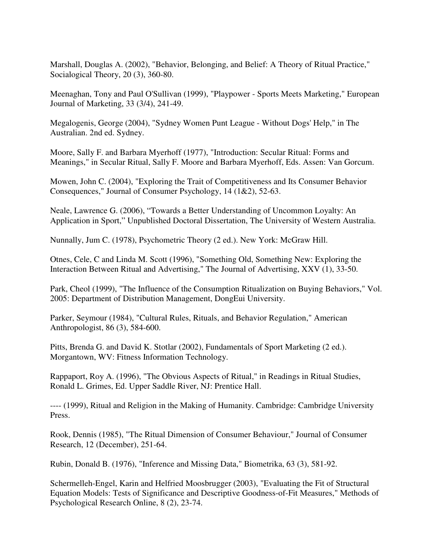Marshall, Douglas A. (2002), "Behavior, Belonging, and Belief: A Theory of Ritual Practice," Socialogical Theory, 20 (3), 360-80.

Meenaghan, Tony and Paul O'Sullivan (1999), "Playpower - Sports Meets Marketing," European Journal of Marketing, 33 (3/4), 241-49.

Megalogenis, George (2004), "Sydney Women Punt League - Without Dogs' Help," in The Australian. 2nd ed. Sydney.

Moore, Sally F. and Barbara Myerhoff (1977), "Introduction: Secular Ritual: Forms and Meanings," in Secular Ritual, Sally F. Moore and Barbara Myerhoff, Eds. Assen: Van Gorcum.

Mowen, John C. (2004), "Exploring the Trait of Competitiveness and Its Consumer Behavior Consequences," Journal of Consumer Psychology, 14 (1&2), 52-63.

Neale, Lawrence G. (2006), "Towards a Better Understanding of Uncommon Loyalty: An Application in Sport," Unpublished Doctoral Dissertation, The University of Western Australia.

Nunnally, Jum C. (1978), Psychometric Theory (2 ed.). New York: McGraw Hill.

Otnes, Cele, C and Linda M. Scott (1996), "Something Old, Something New: Exploring the Interaction Between Ritual and Advertising," The Journal of Advertising, XXV (1), 33-50.

Park, Cheol (1999), "The Influence of the Consumption Ritualization on Buying Behaviors," Vol. 2005: Department of Distribution Management, DongEui University.

Parker, Seymour (1984), "Cultural Rules, Rituals, and Behavior Regulation," American Anthropologist, 86 (3), 584-600.

Pitts, Brenda G. and David K. Stotlar (2002), Fundamentals of Sport Marketing (2 ed.). Morgantown, WV: Fitness Information Technology.

Rappaport, Roy A. (1996), "The Obvious Aspects of Ritual," in Readings in Ritual Studies, Ronald L. Grimes, Ed. Upper Saddle River, NJ: Prentice Hall.

---- (1999), Ritual and Religion in the Making of Humanity. Cambridge: Cambridge University Press.

Rook, Dennis (1985), "The Ritual Dimension of Consumer Behaviour," Journal of Consumer Research, 12 (December), 251-64.

Rubin, Donald B. (1976), "Inference and Missing Data," Biometrika, 63 (3), 581-92.

Schermelleh-Engel, Karin and Helfried Moosbrugger (2003), "Evaluating the Fit of Structural Equation Models: Tests of Significance and Descriptive Goodness-of-Fit Measures," Methods of Psychological Research Online, 8 (2), 23-74.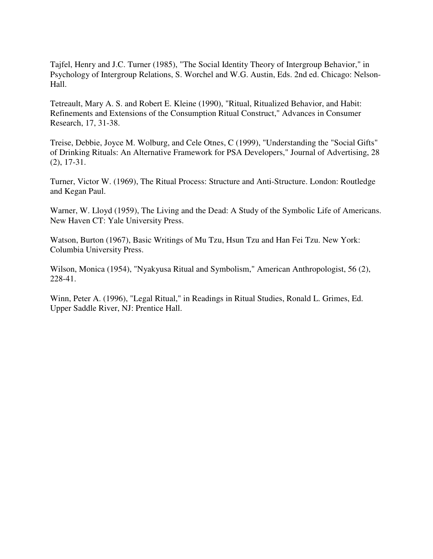Tajfel, Henry and J.C. Turner (1985), "The Social Identity Theory of Intergroup Behavior," in Psychology of Intergroup Relations, S. Worchel and W.G. Austin, Eds. 2nd ed. Chicago: Nelson-Hall.

Tetreault, Mary A. S. and Robert E. Kleine (1990), "Ritual, Ritualized Behavior, and Habit: Refinements and Extensions of the Consumption Ritual Construct," Advances in Consumer Research, 17, 31-38.

Treise, Debbie, Joyce M. Wolburg, and Cele Otnes, C (1999), "Understanding the "Social Gifts" of Drinking Rituals: An Alternative Framework for PSA Developers," Journal of Advertising, 28 (2), 17-31.

Turner, Victor W. (1969), The Ritual Process: Structure and Anti-Structure. London: Routledge and Kegan Paul.

Warner, W. Lloyd (1959), The Living and the Dead: A Study of the Symbolic Life of Americans. New Haven CT: Yale University Press.

Watson, Burton (1967), Basic Writings of Mu Tzu, Hsun Tzu and Han Fei Tzu. New York: Columbia University Press.

Wilson, Monica (1954), "Nyakyusa Ritual and Symbolism," American Anthropologist, 56 (2), 228-41.

Winn, Peter A. (1996), "Legal Ritual," in Readings in Ritual Studies, Ronald L. Grimes, Ed. Upper Saddle River, NJ: Prentice Hall.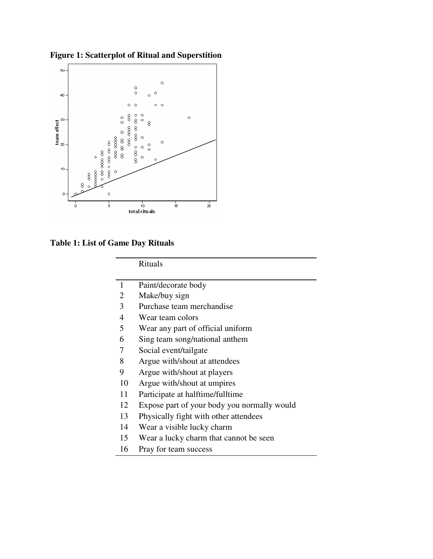



**Table 1: List of Game Day Rituals** 

 $\blacksquare$ 

Rituals

| $\mathbf{1}$ | Paint/decorate body                         |
|--------------|---------------------------------------------|
| 2            | Make/buy sign                               |
| 3            | Purchase team merchandise                   |
| 4            | Wear team colors                            |
| 5            | Wear any part of official uniform           |
| 6            | Sing team song/national anthem              |
| 7            | Social event/tailgate                       |
| 8            | Argue with/shout at attendees               |
| 9            | Argue with/shout at players                 |
| 10           | Argue with/shout at umpires                 |
| 11           | Participate at halftime/fulltime            |
| 12           | Expose part of your body you normally would |
| 13           | Physically fight with other attendees       |
| 14           | Wear a visible lucky charm                  |
| 15           | Wear a lucky charm that cannot be seen      |
| 16           | Pray for team success                       |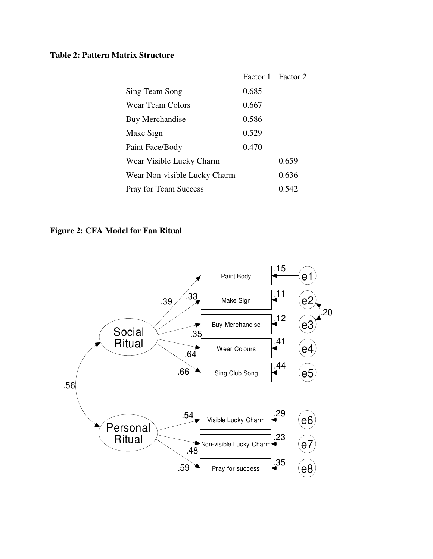# **Table 2: Pattern Matrix Structure**

|                              |       | Factor 1 Factor 2 |
|------------------------------|-------|-------------------|
| Sing Team Song               | 0.685 |                   |
| Wear Team Colors             | 0.667 |                   |
| Buy Merchandise              | 0.586 |                   |
| Make Sign                    | 0.529 |                   |
| Paint Face/Body              | 0.470 |                   |
| Wear Visible Lucky Charm     |       | 0.659             |
| Wear Non-visible Lucky Charm |       | 0.636             |
| <b>Pray for Team Success</b> |       | 0.542             |

# **Figure 2: CFA Model for Fan Ritual**